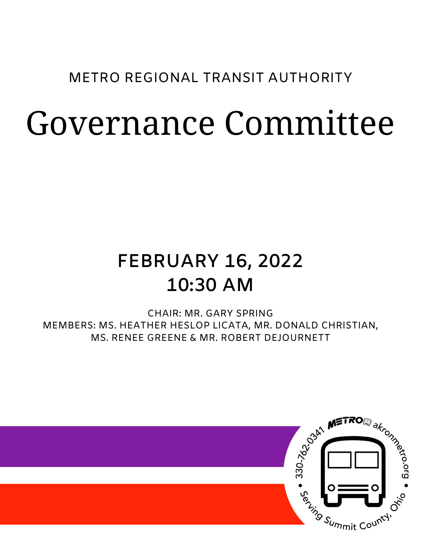### METRO REGIONAL TRANSIT AUTHORITY

# Governance Committee

## **FEBRUARY 16, 2022 10:30 AM**

CHAIR: MR. GARY SPRING MEMBERS: MS. HEATHER HESLOP LICATA, MR. DONALD CHRISTIAN, MS. RENEE GREENE & MR. ROBERT DEJOURNETT

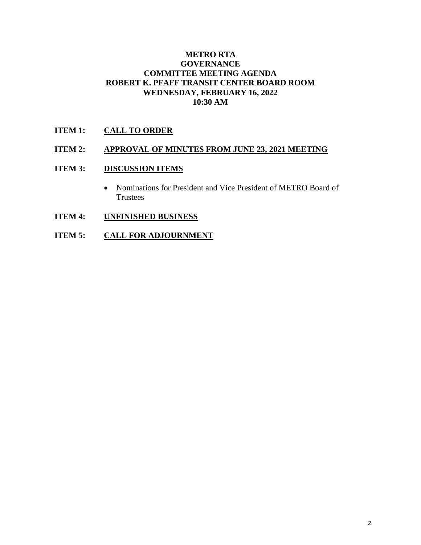#### **METRO RTA GOVERNANCE COMMITTEE MEETING AGENDA ROBERT K. PFAFF TRANSIT CENTER BOARD ROOM WEDNESDAY, FEBRUARY 16, 2022 10:30 AM**

#### **ITEM 1: CALL TO ORDER**

#### **ITEM 2: APPROVAL OF MINUTES FROM JUNE 23, 2021 MEETING**

#### **ITEM 3: DISCUSSION ITEMS**

- Nominations for President and Vice President of METRO Board of Trustees
- **ITEM 4: UNFINISHED BUSINESS**
- **ITEM 5: CALL FOR ADJOURNMENT**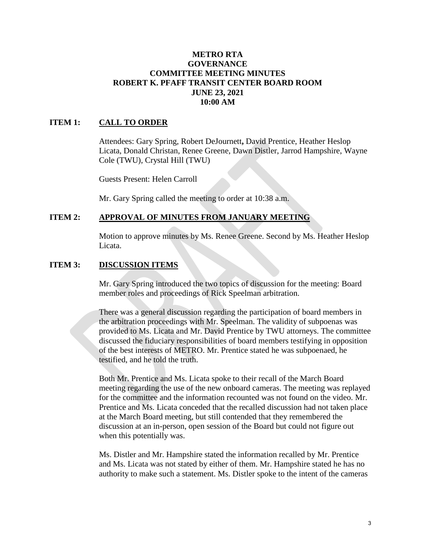#### **METRO RTA GOVERNANCE COMMITTEE MEETING MINUTES ROBERT K. PFAFF TRANSIT CENTER BOARD ROOM JUNE 23, 2021 10:00 AM**

#### **ITEM 1: CALL TO ORDER**

Attendees: Gary Spring, Robert DeJournett**,** David Prentice, Heather Heslop Licata, Donald Christan, Renee Greene, Dawn Distler, Jarrod Hampshire, Wayne Cole (TWU), Crystal Hill (TWU)

Guests Present: Helen Carroll

Mr. Gary Spring called the meeting to order at 10:38 a.m.

#### **ITEM 2: APPROVAL OF MINUTES FROM JANUARY MEETING**

Motion to approve minutes by Ms. Renee Greene. Second by Ms. Heather Heslop Licata.

#### **ITEM 3: DISCUSSION ITEMS**

Mr. Gary Spring introduced the two topics of discussion for the meeting: Board member roles and proceedings of Rick Speelman arbitration.

There was a general discussion regarding the participation of board members in the arbitration proceedings with Mr. Speelman. The validity of subpoenas was provided to Ms. Licata and Mr. David Prentice by TWU attorneys. The committee discussed the fiduciary responsibilities of board members testifying in opposition of the best interests of METRO. Mr. Prentice stated he was subpoenaed, he testified, and he told the truth.

Both Mr. Prentice and Ms. Licata spoke to their recall of the March Board meeting regarding the use of the new onboard cameras. The meeting was replayed for the committee and the information recounted was not found on the video. Mr. Prentice and Ms. Licata conceded that the recalled discussion had not taken place at the March Board meeting, but still contended that they remembered the discussion at an in-person, open session of the Board but could not figure out when this potentially was.

Ms. Distler and Mr. Hampshire stated the information recalled by Mr. Prentice and Ms. Licata was not stated by either of them. Mr. Hampshire stated he has no authority to make such a statement. Ms. Distler spoke to the intent of the cameras